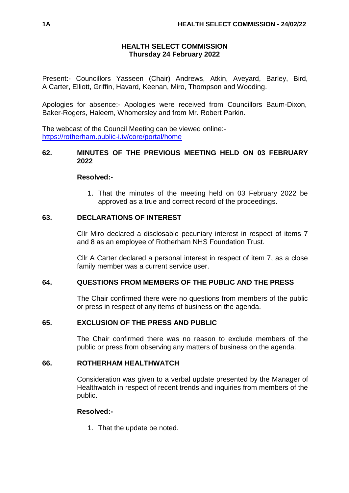### **HEALTH SELECT COMMISSION Thursday 24 February 2022**

Present:- Councillors Yasseen (Chair) Andrews, Atkin, Aveyard, Barley, Bird, A Carter, Elliott, Griffin, Havard, Keenan, Miro, Thompson and Wooding.

Apologies for absence:- Apologies were received from Councillors Baum-Dixon, Baker-Rogers, Haleem, Whomersley and from Mr. Robert Parkin.

The webcast of the Council Meeting can be viewed online: <https://rotherham.public-i.tv/core/portal/home>

### **62. MINUTES OF THE PREVIOUS MEETING HELD ON 03 FEBRUARY 2022**

### **Resolved:-**

1. That the minutes of the meeting held on 03 February 2022 be approved as a true and correct record of the proceedings.

# **63. DECLARATIONS OF INTEREST**

Cllr Miro declared a disclosable pecuniary interest in respect of items 7 and 8 as an employee of Rotherham NHS Foundation Trust.

Cllr A Carter declared a personal interest in respect of item 7, as a close family member was a current service user.

# **64. QUESTIONS FROM MEMBERS OF THE PUBLIC AND THE PRESS**

The Chair confirmed there were no questions from members of the public or press in respect of any items of business on the agenda.

# **65. EXCLUSION OF THE PRESS AND PUBLIC**

The Chair confirmed there was no reason to exclude members of the public or press from observing any matters of business on the agenda.

# **66. ROTHERHAM HEALTHWATCH**

Consideration was given to a verbal update presented by the Manager of Healthwatch in respect of recent trends and inquiries from members of the public.

# **Resolved:-**

1. That the update be noted.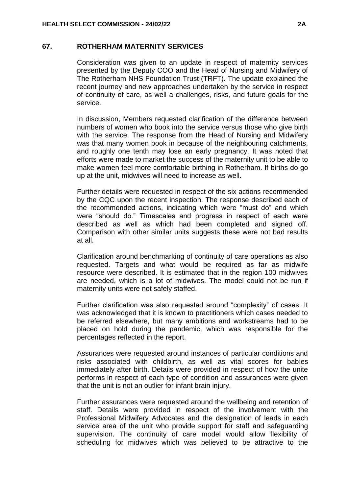#### **67. ROTHERHAM MATERNITY SERVICES**

Consideration was given to an update in respect of maternity services presented by the Deputy COO and the Head of Nursing and Midwifery of The Rotherham NHS Foundation Trust (TRFT). The update explained the recent journey and new approaches undertaken by the service in respect of continuity of care, as well a challenges, risks, and future goals for the service.

In discussion, Members requested clarification of the difference between numbers of women who book into the service versus those who give birth with the service. The response from the Head of Nursing and Midwifery was that many women book in because of the neighbouring catchments, and roughly one tenth may lose an early pregnancy. It was noted that efforts were made to market the success of the maternity unit to be able to make women feel more comfortable birthing in Rotherham. If births do go up at the unit, midwives will need to increase as well.

Further details were requested in respect of the six actions recommended by the CQC upon the recent inspection. The response described each of the recommended actions, indicating which were "must do" and which were "should do." Timescales and progress in respect of each were described as well as which had been completed and signed off. Comparison with other similar units suggests these were not bad results at all.

Clarification around benchmarking of continuity of care operations as also requested. Targets and what would be required as far as midwife resource were described. It is estimated that in the region 100 midwives are needed, which is a lot of midwives. The model could not be run if maternity units were not safely staffed.

Further clarification was also requested around "complexity" of cases. It was acknowledged that it is known to practitioners which cases needed to be referred elsewhere, but many ambitions and workstreams had to be placed on hold during the pandemic, which was responsible for the percentages reflected in the report.

Assurances were requested around instances of particular conditions and risks associated with childbirth, as well as vital scores for babies immediately after birth. Details were provided in respect of how the unite performs in respect of each type of condition and assurances were given that the unit is not an outlier for infant brain injury.

Further assurances were requested around the wellbeing and retention of staff. Details were provided in respect of the involvement with the Professional Midwifery Advocates and the designation of leads in each service area of the unit who provide support for staff and safeguarding supervision. The continuity of care model would allow flexibility of scheduling for midwives which was believed to be attractive to the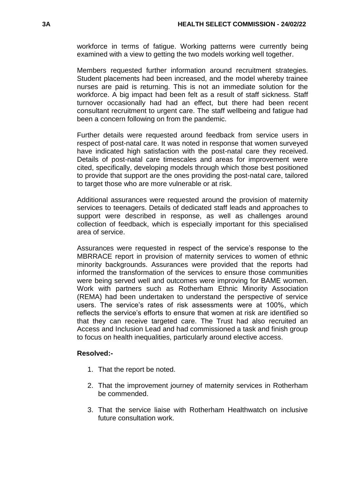workforce in terms of fatigue. Working patterns were currently being examined with a view to getting the two models working well together.

Members requested further information around recruitment strategies. Student placements had been increased, and the model whereby trainee nurses are paid is returning. This is not an immediate solution for the workforce. A big impact had been felt as a result of staff sickness. Staff turnover occasionally had had an effect, but there had been recent consultant recruitment to urgent care. The staff wellbeing and fatigue had been a concern following on from the pandemic.

Further details were requested around feedback from service users in respect of post-natal care. It was noted in response that women surveyed have indicated high satisfaction with the post-natal care they received. Details of post-natal care timescales and areas for improvement were cited, specifically, developing models through which those best positioned to provide that support are the ones providing the post-natal care, tailored to target those who are more vulnerable or at risk.

Additional assurances were requested around the provision of maternity services to teenagers. Details of dedicated staff leads and approaches to support were described in response, as well as challenges around collection of feedback, which is especially important for this specialised area of service.

Assurances were requested in respect of the service's response to the MBRRACE report in provision of maternity services to women of ethnic minority backgrounds. Assurances were provided that the reports had informed the transformation of the services to ensure those communities were being served well and outcomes were improving for BAME women. Work with partners such as Rotherham Ethnic Minority Association (REMA) had been undertaken to understand the perspective of service users. The service's rates of risk assessments were at 100%, which reflects the service's efforts to ensure that women at risk are identified so that they can receive targeted care. The Trust had also recruited an Access and Inclusion Lead and had commissioned a task and finish group to focus on health inequalities, particularly around elective access.

# **Resolved:-**

- 1. That the report be noted.
- 2. That the improvement journey of maternity services in Rotherham be commended.
- 3. That the service liaise with Rotherham Healthwatch on inclusive future consultation work.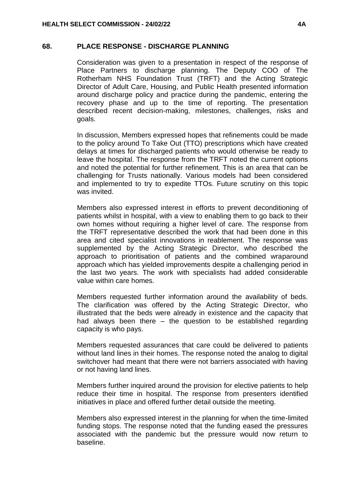# **68. PLACE RESPONSE - DISCHARGE PLANNING**

Consideration was given to a presentation in respect of the response of Place Partners to discharge planning. The Deputy COO of The Rotherham NHS Foundation Trust (TRFT) and the Acting Strategic Director of Adult Care, Housing, and Public Health presented information around discharge policy and practice during the pandemic, entering the recovery phase and up to the time of reporting. The presentation described recent decision-making, milestones, challenges, risks and goals.

In discussion, Members expressed hopes that refinements could be made to the policy around To Take Out (TTO) prescriptions which have created delays at times for discharged patients who would otherwise be ready to leave the hospital. The response from the TRFT noted the current options and noted the potential for further refinement. This is an area that can be challenging for Trusts nationally. Various models had been considered and implemented to try to expedite TTOs. Future scrutiny on this topic was invited.

Members also expressed interest in efforts to prevent deconditioning of patients whilst in hospital, with a view to enabling them to go back to their own homes without requiring a higher level of care. The response from the TRFT representative described the work that had been done in this area and cited specialist innovations in reablement. The response was supplemented by the Acting Strategic Director, who described the approach to prioritisation of patients and the combined wraparound approach which has yielded improvements despite a challenging period in the last two years. The work with specialists had added considerable value within care homes.

Members requested further information around the availability of beds. The clarification was offered by the Acting Strategic Director, who illustrated that the beds were already in existence and the capacity that had always been there – the question to be established regarding capacity is who pays.

Members requested assurances that care could be delivered to patients without land lines in their homes. The response noted the analog to digital switchover had meant that there were not barriers associated with having or not having land lines.

Members further inquired around the provision for elective patients to help reduce their time in hospital. The response from presenters identified initiatives in place and offered further detail outside the meeting.

Members also expressed interest in the planning for when the time-limited funding stops. The response noted that the funding eased the pressures associated with the pandemic but the pressure would now return to baseline.